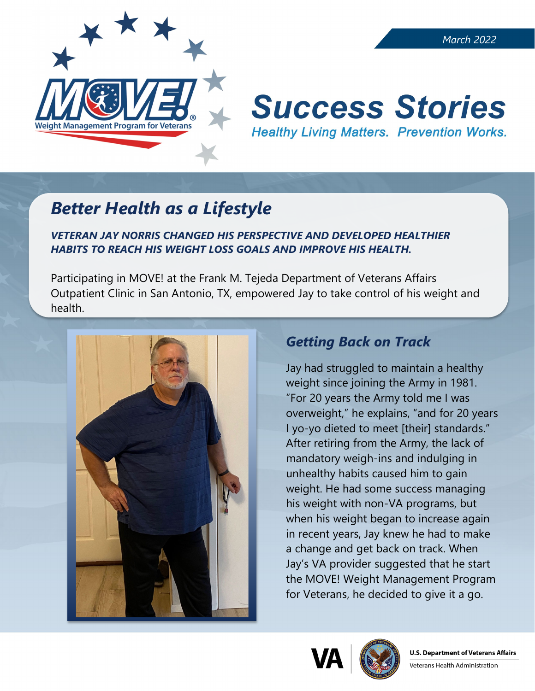

#### *March 2022*

# **Success Stories Healthy Living Matters. Prevention Works.**

## *Better Health as a Lifestyle*

#### *VETERAN JAY NORRIS CHANGED HIS PERSPECTIVE AND DEVELOPED HEALTHIER HABITS TO REACH HIS WEIGHT LOSS GOALS AND IMPROVE HIS HEALTH.*

Participating in MOVE! at the Frank M. Tejeda Department of Veterans Affairs Outpatient Clinic in San Antonio, TX, empowered Jay to take control of his weight and health.



### *Getting Back on Track*

Jay had struggled to maintain a healthy weight since joining the Army in 1981. "For 20 years the Army told me I was overweight," he explains, "and for 20 years I yo-yo dieted to meet [their] standards." After retiring from the Army, the lack of mandatory weigh-ins and indulging in unhealthy habits caused him to gain weight. He had some success managing his weight with non-VA programs, but when his weight began to increase again in recent years, Jay knew he had to make a change and get back on track. When Jay's VA provider suggested that he start the MOVE! Weight Management Program for Veterans, he decided to give it a go.





Veterans Health Administration